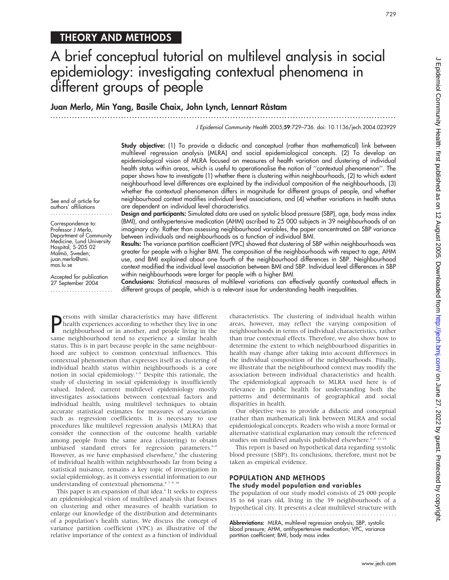# A brief conceptual tutorial on multilevel analysis in social epidemiology: investigating contextual phenomena in different groups of people

Juan Merlo, Min Yang, Basile Chaix, John Lynch, Lennart Råstam

...............................................................................................................................

J Epidemiol Community Health 2005;59:729–736. doi: 10.1136/jech.2004.023929

Study objective: (1) To provide a didactic and conceptual (rather than mathematical) link between multilevel regression analysis (MLRA) and social epidemiological concepts. (2) To develop an epidemiological vision of MLRA focused on measures of health variation and clustering of individual health status within areas, which is useful to operationalise the notion of ''contextual phenomenon''. The paper shows how to investigate (1) whether there is clustering within neighbourhoods, (2) to which extent neighbourhood level differences are explained by the individual composition of the neighbourhoods, (3) whether the contextual phenomenon differs in magnitude for different groups of people, and whether neighbourhood context modifies individual level associations, and (4) whether variations in health status are dependent on individual level characteristics.

See end of article for authors' affiliations

Correspondence to: Professor J Merlo, Department of Community Medicine, Lund University Hospital, S-205 02 Malmö, Sweden; juan.merlo@smi. mas.lu.se

Accepted for publication 27 September 2004 ....................... Design and participants: Simulated data are used on systolic blood pressure (SBP), age, body mass index (BMI), and antihypertensive medication (AHM) ascribed to 25 000 subjects in 39 neighbourhoods of an imaginary city. Rather than assessing neighbourhood variables, the paper concentrated on SBP variance between individuals and neighbourhoods as a function of individual BMI.

Results: The variance partition coefficient (VPC) showed that clustering of SBP within neighbourhoods was greater for people with a higher BMI. The composition of the neighbourhoods with respect to age, AHM use, and BMI explained about one fourth of the neighbourhood differences in SBP. Neighbourhood context modified the individual level association between BMI and SBP. Individual level differences in SBP within neighbourhoods were larger for people with a higher BMI.

Conclusions: Statistical measures of multilevel variations can effectively quantify contextual effects in different groups of people, which is a relevant issue for understanding health inequalities.

**P** health experiences according to whether they live in one<br>neighbourhood or in another, and people living in the<br>same neighbourhood tend to experience a similar health ersons with similar characteristics may have different neighbourhood or in another, and people living in the same neighbourhood tend to experience a similar health status. This is in part because people in the same neighbourhood are subject to common contextual influences. This contextual phenomenon that expresses itself as clustering of individual health status within neighbourhoods is a core notion in social epidemiology.<sup>1-5</sup> Despite this rationale, the study of clustering in social epidemiology is insufficiently valued. Indeed, current multilevel epidemiology mostly investigates associations between contextual factors and individual health, using multilevel techniques to obtain accurate statistical estimates for measures of association such as regression coefficients. It is necessary to use procedures like multilevel regression analysis (MLRA) that consider the connection of the outcome health variable among people from the same area (clustering) to obtain unbiased standard errors for regression parameters.<sup>6-8</sup> However, as we have emphasised elsewhere,<sup>4</sup> the clustering of individual health within neighbourhoods far from being a statistical nuisance, remains a key topic of investigation in social epidemiology, as it conveys essential information to our understanding of contextual phenomena.<sup>47910</sup>

This paper is an expansion of that idea.<sup>4</sup> It seeks to express an epidemiological vision of multilevel analysis that focuses on clustering and other measures of health variation to enlarge our knowledge of the distribution and determinants of a population's health status. We discuss the concept of variance partition coefficient (VPC) as illustrative of the relative importance of the context as a function of individual characteristics. The clustering of individual health within areas, however, may reflect the varying composition of neighbourhoods in terms of individual characteristics, rather than true contextual effects. Therefore, we also show how to determine the extent to which neighbourhood disparities in health may change after taking into account differences in the individual composition of the neighbourhoods. Finally, we illustrate that the neighbourhood context may modify the association between individual characteristics and health. The epidemiological approach to MLRA used here is of relevance in public health for understanding both the patterns and determinants of geographical and social disparities in health.

Our objective was to provide a didactic and conceptual (rather than mathematical) link between MLRA and social epidemiological concepts. Readers who wish a more formal or alternative statistical explanation may consult the referenced studies on multilevel analysis published elsewhere.<sup>6-8 11-13</sup>

This report is based on hypothetical data regarding systolic blood pressure (SBP). Its conclusions, therefore, must not be taken as empirical evidence.

# POPULATION AND METHODS

## The study model population and variables

The population of our study model consists of 25 000 people 35 to 64 years old, living in the 39 neighbourhoods of a hypothetical city. It presents a clear multilevel structure with

Abbreviations: MLRA, multilevel regression analysis; SBP, systolic blood pressure; AHM, antihypertensive medication; VPC, variance partition coefficient; BMI, body mass index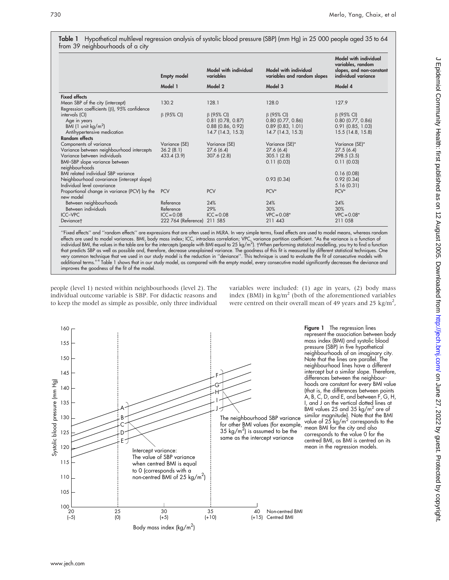Table 1 Hypothetical multilevel regression analysis of systolic blood pressure (SBP) (mm Hg) in 25 000 people aged 35 to 64 from 39 neighbourhoods of a city

|                                                    | <b>Empty model</b>          | Model with individual<br>variables | Model with individual<br>variables and random slopes | Model with individual<br>variables, random<br>slopes, and non-constant<br>individual variance |
|----------------------------------------------------|-----------------------------|------------------------------------|------------------------------------------------------|-----------------------------------------------------------------------------------------------|
|                                                    | Model 1                     | Model 2                            | Model 3                                              | Model 4                                                                                       |
| <b>Fixed effects</b>                               |                             |                                    |                                                      |                                                                                               |
| Mean SBP of the city (intercept)                   | 130.2                       | 128.1                              | 128.0                                                | 127.9                                                                                         |
| Regression coefficients $(\beta)$ , 95% confidence |                             |                                    |                                                      |                                                                                               |
| intervals (CI)                                     | $\beta$ (95% CI)            | $\beta$ (95% CI)                   | $\beta$ (95% CI)                                     | $\beta$ (95% CI)                                                                              |
| Age in years                                       |                             | $0.81$ (0.78, 0.87)                | $0.80$ (0.77, 0.86)                                  | $0.80$ (0.77, 0.86)                                                                           |
| BMI (1 unit $\text{kg/m}^2$ )                      |                             | $0.88$ (0.86, 0.92)                | $0.89$ (0.83, 1.01)                                  | $0.91$ (0.85, 1.03)                                                                           |
| Antihypertensive medication                        |                             | 14.7 (14.3, 15.3)                  | 14.7(14.3, 15.3)                                     | 15.5 (14.8, 15.8)                                                                             |
| <b>Random effects</b>                              |                             |                                    |                                                      |                                                                                               |
| Components of variance                             | Variance (SE)               | Variance (SE)                      | Variance (SE)*                                       | Variance (SE)*                                                                                |
| Variance between neighbourhood intercepts          | 36.2(8.1)                   | 27.6(6.4)                          | 27.6(6.4)                                            | 27.5(6.4)                                                                                     |
| Variance between individuals                       | 433.4 (3.9)                 | 307.6 (2.8)                        | 305.1(2.8)                                           | 298.5 (3.5)                                                                                   |
| BMI-SBP slope variance between                     |                             |                                    | 0.11(0.03)                                           | 0.11(0.03)                                                                                    |
| neighbourhoods                                     |                             |                                    |                                                      |                                                                                               |
| <b>BMI</b> related individual SBP variance         |                             |                                    |                                                      | 0.16(0.08)                                                                                    |
| Neighbourhood covariance (intercept slope)         |                             |                                    | 0.93(0.34)                                           | 0.92(0.34)                                                                                    |
| Individual level covariance                        |                             |                                    |                                                      | 5.16(0.31)                                                                                    |
| Proportional change in variance (PCV) by the       | <b>PCV</b>                  | <b>PCV</b>                         | PCV*                                                 | PCV*                                                                                          |
| new model                                          |                             |                                    |                                                      |                                                                                               |
| Between neighbourhoods                             | Reference                   | 24%                                | 24%                                                  | 24%                                                                                           |
| Between individuals                                | Reference                   | 29%                                | 30%                                                  | 30%                                                                                           |
| <b>ICC-VPC</b>                                     | $ICC = 0.08$                | $ICC = 0.08$                       | $VPC = 0.08*$                                        | $VPC = 0.08*$                                                                                 |
| Deviancet                                          | 222 764 (Reference) 211 585 |                                    | 211 443                                              | 211 058                                                                                       |

''Fixed effects'' and ''random effects'' are expressions that are often used in MLRA. In very simple terms, fixed effects are used to model means, whereas random effects are used to model variances. BMI, body mass index; ICC, intraclass correlation; VPC, variance partition coefficient. \*As the variance is a function of individual BMI, the values in the table are for the intercepts (people with BMI equal to 25 kg/m<sup>2</sup>). †When performing statistical modelling, you try to find a function that predicts SBP as well as possible and, therefore, decrease unexplained variance. The goodness of this fit is measured by different statistical techniques. One very common technique that we used in our study model is the reduction in ''deviance''. This technique is used to evaluate the fit of consecutive models with<br>additional terms.\*® Table 1 shows that in our study model, as co improves the goodness of the fit of the model.

people (level 1) nested within neighbourhoods (level 2). The individual outcome variable is SBP. For didactic reasons and to keep the model as simple as possible, only three individual variables were included: (1) age in years, (2) body mass index (BMI) in  $\text{kg/m}^2$  (both of the aforementioned variables were centred on their overall mean of 49 years and 25 kg/m<sup>2</sup>,



Figure 1 The regression lines represent the association between body mass index (BMI) and systolic blood pressure (SBP) in five hypothetical neighbourhoods of an imaginary city. Note that the lines are parallel. The neighbourhood lines have a different intercept but a similar slope. Therefore, differences between the neighbourhoods are constant for every BMI value (that is, the differences between points A, B, C, D, and E, and between F, G, H, I, and J on the vertical dotted lines at BMI values 25 and 35 kg/m<sup>2</sup> are of similar magnitude). Note that the BMI<br>value of 25 kg/m<sup>2</sup> corresponds to the mean BMI for the city and also corresponds to the value 0 for the centred BMI, as BMI is centred on its mean in the regression models.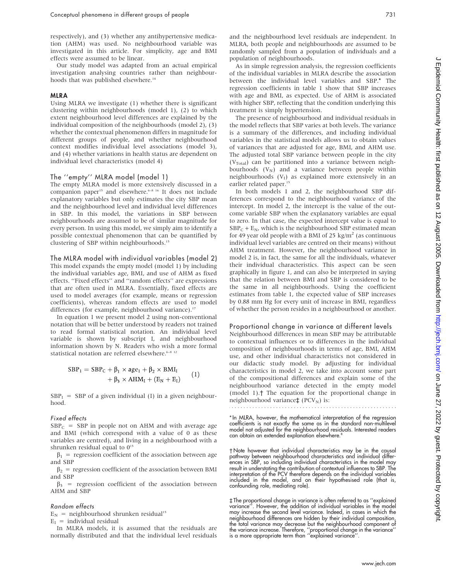respectively), and (3) whether any antihypertensive medication (AHM) was used. No neighbourhood variable was investigated in this article. For simplicity, age and BMI effects were assumed to be linear.

Our study model was adapted from an actual empirical investigation analysing countries rather than neighbourhoods that was published elsewhere.<sup>14</sup>

## MLRA

Using MLRA we investigate (1) whether there is significant clustering within neighbourhoods (model 1), (2) to which extent neighbourhood level differences are explained by the individual composition of the neighbourhoods (model 2), (3) whether the contextual phenomenon differs in magnitude for different groups of people, and whether neighbourhood context modifies individual level associations (model 3), and (4) whether variations in health status are dependent on individual level characteristics (model 4)

#### The ''empty'' MLRA model (model 1)

The empty MLRA model is more extensively discussed in a companion paper<sup>15</sup> and elsewhere.<sup>6–8 16</sup> It does not include explanatory variables but only estimates the city SBP mean and the neighbourhood level and individual level differences in SBP. In this model, the variations in SBP between neighbourhoods are assumed to be of similar magnitude for every person. In using this model, we simply aim to identify a possible contextual phenomenon that can be quantified by clustering of SBP within neighbourhoods.15

#### The MLRA model with individual variables (model 2)

This model expands the empty model (model 1) by including the individual variables age, BMI, and use of AHM as fixed effects. ''Fixed effects'' and ''random effects'' are expressions that are often used in MLRA. Essentially, fixed effects are used to model averages (for example, means or regression coefficients), whereas random effects are used to model differences (for example, neighbourhood variance).<sup>17</sup>

In equation 1 we present model 2 using non-conventional notation that will be better understood by readers not trained to read formal statistical notation. An individual level variable is shown by subscript I, and neighbourhood information shown by N. Readers who wish a more formal statistical notation are referred elsewhere.<sup>6-8 12</sup>

$$
SBP_1 = SBP_C + \beta_1 \times age_1 + \beta_2 \times BMI_I
$$
  
+ 
$$
\beta_3 \times AHM_I + (E_N + E_I)
$$
 (1)

 $SBP<sub>I</sub>$  = SBP of a given individual (I) in a given neighbourhood.

#### Fixed effects

 $SBP_C$  = SBP in people not on AHM and with average age and BMI (which correspond with a value of 0 as these variables are centred), and living in a neighbourhood with a shrunken residual equal to  $0<sup>15</sup>$ 

 $\beta_1$  = regression coefficient of the association between age and SBP

 $\beta_2$  = regression coefficient of the association between BMI and SBP

 $\beta_3$  = regression coefficient of the association between AHM and SBP

### Random effects

 $E_N$  = neighbourhood shrunken residual<sup>15</sup>

 $E_I$  = individual residual

In MLRA models, it is assumed that the residuals are normally distributed and that the individual level residuals and the neighbourhood level residuals are independent. In MLRA, both people and neighbourhoods are assumed to be randomly sampled from a population of individuals and a population of neighbourhoods.

As in simple regression analysis, the regression coefficients of the individual variables in MLRA describe the association between the individual level variables and SBP.\* The regression coefficients in table 1 show that SBP increases with age and BMI, as expected. Use of AHM is associated with higher SBP, reflecting that the condition underlying this treatment is simply hypertension.

The presence of neighbourhood and individual residuals in the model reflects that SBP varies at both levels. The variance is a summary of the differences, and including individual variables in the statistical models allows us to obtain values of variances that are adjusted for age, BMI, and AHM use. The adjusted total SBP variance between people in the city  $(V<sub>Total</sub>)$  can be partitioned into a variance between neighbourhoods  $(V_N)$  and a variance between people within neighbourhoods  $(V<sub>I</sub>)$  as explained more extensively in an earlier related paper.<sup>15</sup>

In both models 1 and 2, the neighbourhood SBP differences correspond to the neighbourhood variance of the intercept. In model 2, the intercept is the value of the outcome variable SBP when the explanatory variables are equal to zero. In that case, the expected intercept value is equal to  $SBP_C + E_N$ , which is the neighbourhood SBP estimated mean for 49 year old people with a BMI of 25 kg/m<sup>2</sup> (as continuous individual level variables are centred on their means) without AHM treatment. However, the neighbourhood variance in model 2 is, in fact, the same for all the individuals, whatever their individual characteristics. This aspect can be seen graphically in figure 1, and can also be interpreted in saying that the relation between BMI and SBP is considered to be the same in all neighbourhoods. Using the coefficient estimates from table 1, the expected value of SBP increases by 0.88 mm Hg for every unit of increase in BMI, regardless of whether the person resides in a neighbourhood or another.

#### Proportional change in variance at different levels

Neighbourhood differences in mean SBP may be attributable to contextual influences or to differences in the individual composition of neighbourhoods in terms of age, BMI, AHM use, and other individual characteristics not considered in our didactic study model. By adjusting for individual characteristics in model 2, we take into account some part of the compositional differences and explain some of the neighbourhood variance detected in the empty model (model 1). $\dagger$  The equation for the proportional change in neighbourhood variance` (PCVN) is:

\*In MLRA, however, the mathematical interpretation of the regression coefficients is not exactly the same as in the standard non-multilevel model not adjusted for the neighbourhood residuals. Interested readers can obtain an extended explanation elsewhere.<sup>8</sup>

 Note however that individual characteristics may be in the causal pathway between neighbourhood characteristics and individual differences in SBP, so including individual characteristics in the model may result in understating the contribution of contextual influences to SBP. The interpretation of the PCV therefore depends on the individual variables included in the model, and on their hypothesised role (that is, confounding role, mediating role).

` The proportional change in variance is often referred to as ''explained variance''. However, the addition of individual variables in the model may increase the second level variance. Indeed, in cases in which the neighbourhood differences are hidden by their individual composition, the total variance may decrease but the neighbourhood component of the variance increase. Therefore, ''proportional change in the variance'' is a more appropriate term than ''explained variance''.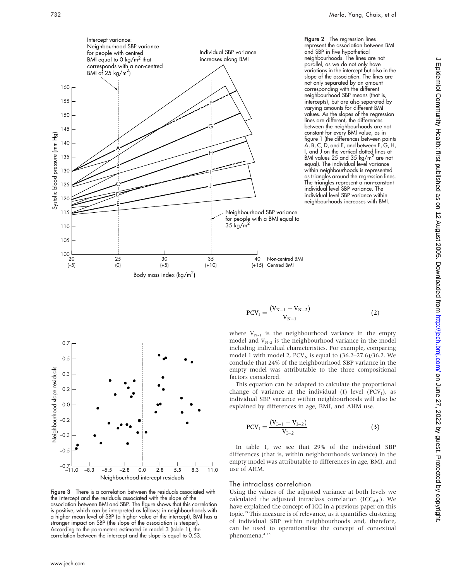

Figure 2 The regression lines represent the association between BMI and SBP in five hypothetical neighbourhoods. The lines are not parallel, as we do not only have variations in the intercept but also in the slope of the association. The lines are not only separated by an amount corresponding with the different neighbourhood SBP means (that is, intercepts), but are also separated by varying amounts for different BMI values. As the slopes of the regression lines are different, the differences between the neighbourhoods are not constant for every BMI value, as in figure 1 (the differences between points A, B, C, D, and E, and between F, G, H, I, and J on the vertical dotted lines at BMI values 25 and 35 kg/ $m<sup>2</sup>$  are not equal). The individual level variance within neighbourhoods is represented as triangles around the regression lines. The triangles represent a non-constant individual level SBP variance. The individual level SBP variance within neighbourhoods increases with BMI.



Figure 3 There is a correlation between the residuals associated with the intercept and the residuals associated with the slope of the association between BMI and SBP. The figure shows that this correlation is positive, which can be interpreted as follows: in neighbourhoods with a higher mean level of SBP (a higher value of the intercept), BMI has a stronger impact on SBP (the slope of the association is steeper). According to the parameters estimated in model 3 (table 1), the correlation between the intercept and the slope is equal to 0.53.

$$
PCV_{I} = \frac{(V_{N-1} - V_{N-2})}{V_{N-1}}
$$
\n(2)

where  $V_{N-1}$  is the neighbourhood variance in the empty model and  $V_{N-2}$  is the neighbourhood variance in the model including individual characteristics. For example, comparing model 1 with model 2,  $PCV_N$  is equal to  $(36.2–27.6)/36.2$ . We conclude that 24% of the neighbourhood SBP variance in the empty model was attributable to the three compositional factors considered.

This equation can be adapted to calculate the proportional change of variance at the individual (I) level ( $PCV<sub>I</sub>$ ), as individual SBP variance within neighbourhoods will also be explained by differences in age, BMI, and AHM use.

$$
PCV_1 = \frac{(V_{I-1} - V_{I-2})}{V_{I-2}}
$$
\n(3)

In table 1, we see that 29% of the individual SBP differences (that is, within neighbourhoods variance) in the empty model was attributable to differences in age, BMI, and use of AHM.

#### The intraclass correlation

Using the values of the adjusted variance at both levels we calculated the adjusted intraclass correlation (ICC $_{\rm Adj}$ ). We have explained the concept of ICC in a previous paper on this topic.15 This measure is of relevance, as it quantifies clustering of individual SBP within neighbourhoods and, therefore, can be used to operationalise the concept of contextual phenomena.4 15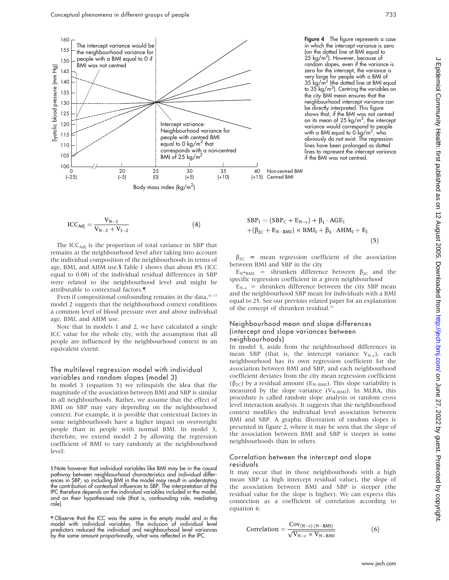

$$
ICC_{Adj} = \frac{V_{N-2}}{V_{N-2} + V_{I-2}}
$$
 (4)

The  $ICC_{\text{Adj}}$  is the proportion of total variance in SBP that remains at the neighbourhood level after taking into account the individual composition of the neighbourhoods in terms of age, BMI, and AHM use.§ Table 1 shows that about 8% (ICC equal to 0.08) of the individual residual differences in SBP were related to the neighbourhood level and might be attributable to contextual factors.

Even if compositional confounding remains in the data,<sup>16-17</sup> model 2 suggests that the neighbourhood context conditions a common level of blood pressure over and above individual age, BMI, and AHM use.

Note that in models 1 and 2, we have calculated a single ICC value for the whole city, with the assumption that all people are influenced by the neighbourhood context in an equivalent extent.

### The multilevel regression model with individual variables and random slopes (model 3)

In model 3 (equation 5) we relinquish the idea that the magnitude of the association between BMI and SBP is similar in all neighbourhoods. Rather, we assume that the effect of BMI on SBP may vary depending on the neighbourhood context. For example, it is possible that contextual factors in some neighbourhoods have a higher impact on overweight people than in people with normal BMI. In model 3, therefore, we extend model 2 by allowing the regression coefficient of BMI to vary randomly at the neighbourhood level:

§ Note however that individual variables like BMI may be in the causal pathway between neighbourhood characteristics and individual differences in SBP, so including BMI in the model may result in understating the contribution of contextual influences to SBP. The interpretation of the IPC therefore depends on the individual variables included in the model, and on their hypothesised role (that is, confounding role, mediating role).

- Observe that the ICC was the same in the empty model and in the model with individual variables. The inclusion of individual level predictors reduced the individual and neighbourhood level variances by the same amount proportionally, what was reflected in the IPC.

Figure 4 The figure represents a case in which the intercept variance is zero (on the dotted line at BMI equal to  $25 \text{ kg/m}^2$ ). However, because of random slopes, even if the variance is zero for the intercept, the variance is very large for people with a BMI of  $35 \text{ kg/m}^2$  (the dotted line at BMI equal to 35 kg/m<sup>2</sup>). Centring the variables on the city BMI mean ensures that the neighbourhood intercept variance can be directly interpreted. This figure shows that, if the BMI was not centred on its mean of 25 kg/m<sup>2</sup>, the intercept variance would correspond to people with a BMI equal to 0 kg/m<sup>2</sup>, who obviously do not exist. The regression lines have been prolonged as dotted lines to represent the intercept variance if the BMI was not centred.

$$
SBPI = (SBPC + EN-C) + \betaI \cdot AGEI + (\beta2C + EN-BMI) \times BMII + \beta3 \cdot AHMI + EI
$$
 (5)

 $\beta_{2C}$  = mean regression coefficient of the association between BMI and SBP in the city

 $E_N$ -<sub>BMI</sub> = shrunken difference between  $\beta_{2C}$  and the specific regression coefficient in a given neighbourhood

 $E_{N-c}$  = shrunken difference between the city SBP mean and the neighbourhood SBP mean for individuals with a BMI equal to 25. See our previous related paper for an explanation of the concept of shrunken residual.<sup>15</sup>

#### Neighbourhood mean and slope differences (intercept and slope variances between neighbourhoods)

In model 3, aside from the neighbourhood differences in mean SBP (that is, the intercept variance  $V_{N-c}$ ), each neighbourhood has its own regression coefficient for the association between BMI and SBP, and each neighbourhood coefficient deviates from the city mean regression coefficient ( $\beta_{2C}$ ) by a residual amount ( $E_{N-BMI}$ ). This slope variability is measured by the slope variance  $(V_{N-BMI})$ . In MLRA, this procedure is called random slope analysis or random cross level interaction analysis. It suggests that the neighbourhood context modifies the individual level association between BMI and SBP. A graphic illustration of random slopes is presented in figure 2, where it may be seen that the slope of the association between BMI and SBP is steeper in some neighbourhoods than in others.

### Correlation between the intercept and slope residuals

It may occur that in those neighbourhoods with a high mean SBP (a high intercept residual value), the slope of the association between BMI and SBP is steeper (the residual value for the slope is higher). We can express this connection as a coefficient of correlation according to equation 6:

$$
Correlation = \frac{Cov_{(N-c)\cdot(N-BMI)}}{\sqrt{V_{N-c} \times V_{N-BMI}}}
$$
(6)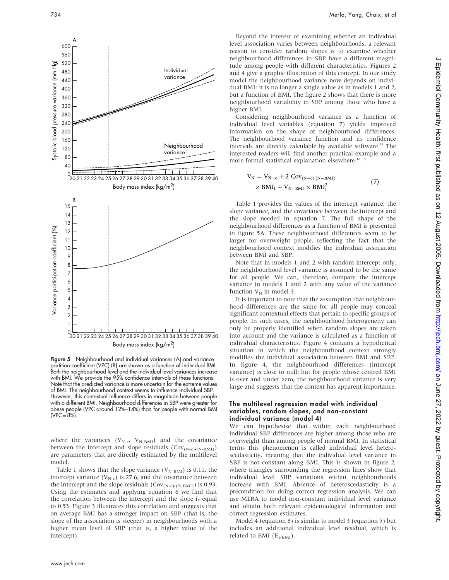

Figure 5 Neighbourhood and individual variances (A) and variance partition coefficient (VPC) (B) are shown as a function of individual BMI. Both the neighbourhood level and the individual level variances increase with BMI. We provide the 95% confidence intervals of these functions. Note that the predicted variance is more uncertain for the extreme values of BMI. The neighbourhood context seems to influence individual SBP. However, this contextual influence differs in magnitude between people with a different BMI. Neighbourhood differences in SBP were greater for obese people (VPC around 12%–14%) than for people with normal BMI  $(VPC = 8\%)$ 

where the variances  $(V_{N-c}$ ,  $V_{N-BMI}$  and the covariance between the intercept and slope residuals ( $\text{Cov}_{(N-c)\bullet(N-BMI)}$ ) are parameters that are directly estimated by the multilevel model.

Table 1 shows that the slope variance ( $V_{\text{N-BMI}}$ ) is 0.11, the intercept variance  $(V_{N-c})$  is 27.6, and the covariance between the intercept and the slope residuals ( $\text{Cov}_{(N-c)\bullet(N-BMI)}$ ) is 0.93. Using the estimates and applying equation 6 we find that the correlation between the intercept and the slope is equal to 0.53. Figure 3 illustrates this correlation and suggests that on average BMI has a stronger impact on SBP (that is, the slope of the association is steeper) in neighbourhoods with a higher mean level of SBP (that is, a higher value of the intercept).

Beyond the interest of examining whether an individual level association varies between neighbourhoods, a relevant reason to consider random slopes is to examine whether neighbourhood differences in SBP have a different magnitude among people with different characteristics. Figures 2 and 4 give a graphic illustration of this concept. In our study model the neighbourhood variance now depends on individual BMI: it is no longer a single value as in models 1 and 2, but a function of BMI. The figure 2 shows that there is more neighbourhood variability in SBP among those who have a higher BMI.

Considering neighbourhood variance as a function of individual level variables (equation 7) yields improved information on the shape of neighbourhood differences. The neighbourhood variance function and its confidence intervals are directly calculable by available software.<sup>13</sup> The interested readers will find another practical example and a more formal statistical explanation elsewhere.<sup>18 19</sup>

$$
V_N = V_{N-c} + 2 \text{ Cov}_{(N-c)\cdot(N-BMI)} \times \text{BMI}_1 + V_{N-BMI} \times \text{BMI}_1^2 \tag{7}
$$

Table 1 provides the values of the intercept variance, the slope variance, and the covariance between the intercept and the slope needed in equation 7. The full shape of the neighbourhood differences as a function of BMI is presented in figure 5A. These neighbourhood differences seem to be larger for overweight people, reflecting the fact that the neighbourhood context modifies the individual association between BMI and SBP.

Note that in models 1 and 2 with random intercept only, the neighbourhood level variance is assumed to be the same for all people. We can, therefore, compare the intercept variance in models 1 and 2 with any value of the variance function  $V_N$  in model 3.

It is important to note that the assumption that neighbourhood differences are the same for all people may conceal significant contextual effects that pertain to specific groups of people. In such cases, the neighbourhood heterogeneity can only be properly identified when random slopes are taken into account and the variance is calculated as a function of individual characteristics. Figure 4 contains a hypothetical situation in which the neighbourhood context strongly modifies the individual association between BMI and SBP. In figure 4, the neighbourhood differences (intercept variance) is close to null; but for people whose centred BMI is over and under zero, the neighbourhood variance is very large and suggests that the context has apparent importance.

#### The multilevel regression model with individual variables, random slopes, and non-constant individual variance (model 4)

We can hypothesise that within each neighbourhood individual SBP differences are higher among those who are overweight than among people of normal BMI. In statistical terms this phenomenon is called individual level heteroscedasticity, meaning that the individual level variance in SBP is not constant along BMI. This is shown in figure 2, where triangles surrounding the regression lines show that individual level SBP variations within neighbourhoods increase with BMI. Absence of heteroscedasticity is a precondition for doing correct regression analysis. We can use MLRA to model non-constant individual level variance and obtain both relevant epidemiological information and correct regression estimates.

Model 4 (equation 8) is similar to model 3 (equation 5) but includes an additional individual level residual, which is related to BMI ( $E_{I-BMI}$ ).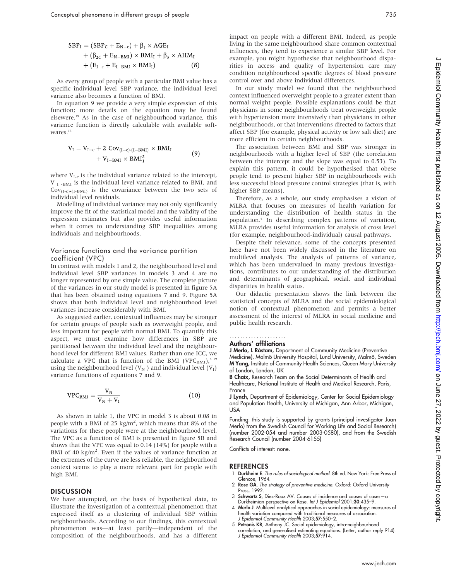$$
SBP_{I} = (SBP_{C} + E_{N-C}) + \beta_{I} \times AGE_{I}
$$
  
+ 
$$
(\beta_{2C} + E_{N-BMI}) \times BMI_{I} + \beta_{3} \times AHM_{I}
$$
  
+ 
$$
(E_{I-C} + E_{I-BMI} \times BMI_{I})
$$
 (8)

As every group of people with a particular BMI value has a specific individual level SBP variance, the individual level variance also becomes a function of BMI.

In equation 9 we provide a very simple expression of this function; more details on the equation may be found elsewere.<sup>19</sup> As in the case of neighbourhood variance, this variance function is directly calculable with available softwares.<sup>13</sup>

$$
V_{I} = V_{I-c} + 2 Cov_{(I-c)\cdot(I-BMI)} \times BMI_{I}
$$
  
+ 
$$
V_{I-BMI} \times BMI_{I}^{2}
$$
 (9)

where  $V_{I-c}$  is the individual variance related to the intercept,  $V_{I-BMI}$  is the individual level variance related to BMI, and  $Cov_{(I-C) \bullet (I-BMI)}$  is the covariance between the two sets of individual level residuals.

Modelling of individual variance may not only significantly improve the fit of the statistical model and the validity of the regression estimates but also provides useful information when it comes to understanding SBP inequalities among individuals and neighbourhoods.

#### Variance functions and the variance partition coefficient (VPC)

In contrast with models 1 and 2, the neighbourhood level and individual level SBP variances in models 3 and 4 are no longer represented by one simple value. The complete picture of the variances in our study model is presented in figure 5A that has been obtained using equations 7 and 9. Figure 5A shows that both individual level and neighbourhood level variances increase considerably with BMI.

As suggested earlier, contextual influences may be stronger for certain groups of people such as overweight people, and less important for people with normal BMI. To quantify this aspect, we must examine how differences in SBP are partitioned between the individual level and the neighbourhood level for different BMI values. Rather than one ICC, we calculate a VPC that is function of the BMI (VPC $_{\text{BMI}}$ ),  $^{6}$  19 using the neighbourhood level  $(V_N)$  and individual level  $(V_I)$ variance functions of equations 7 and 9.

$$
VPCBMI = \frac{V_N}{V_N + V_I}
$$
\n(10)

As shown in table 1, the VPC in model 3 is about 0.08 in people with a BMI of 25  $\text{kg/m}^2$ , which means that 8% of the variations for these people were at the neighbourhood level. The VPC as a function of BMI is presented in figure 5B and shows that the VPC was equal to 0.14 (14%) for people with a BMI of 40 kg/m<sup>2</sup>. Even if the values of variance function at the extremes of the curve are less reliable, the neighbourhood context seems to play a more relevant part for people with high BMI.

#### **DISCUSSION**

We have attempted, on the basis of hypothetical data, to illustrate the investigation of a contextual phenomenon that expressed itself as a clustering of individual SBP within neighbourhoods. According to our findings, this contextual phenomenon was—at least partly—independent of the composition of the neighbourhoods, and has a different

impact on people with a different BMI. Indeed, as people living in the same neighbourhood share common contextual influences, they tend to experience a similar SBP level. For example, you might hypothesise that neighbourhood disparities in access and quality of hypertension care may condition neighbourhood specific degrees of blood pressure control over and above individual differences.

In our study model we found that the neighbourhood context influenced overweight people to a greater extent than normal weight people. Possible explanations could be that physicians in some neighbourhoods treat overweight people with hypertension more intensively than physicians in other neighbourhoods, or that interventions directed to factors that affect SBP (for example, physical activity or low salt diet) are more efficient in certain neighbourhoods.

The association between BMI and SBP was stronger in neighbourhoods with a higher level of SBP (the correlation between the intercept and the slope was equal to 0.53). To explain this pattern, it could be hypothesised that obese people tend to present higher SBP in neighbourhoods with less successful blood pressure control strategies (that is, with higher SBP means).

Therefore, as a whole, our study emphasises a vision of MLRA that focuses on measures of health variation for understanding the distribution of health status in the population.4 In describing complex patterns of variation, MLRA provides useful information for analysis of cross level (for example, neighbourhood-individual) causal pathways.

Despite their relevance, some of the concepts presented here have not been widely discussed in the literature on multilevel analysis. The analysis of patterns of variance, which has been undervalued in many previous investigations, contributes to our understanding of the distribution and determinants of geographical, social, and individual disparities in health status.

Our didactic presentation shows the link between the statistical concepts of MLRA and the social epidemiological notion of contextual phenomenon and permits a better assessment of the interest of MLRA in social medicine and public health research.

#### Authors' affiliations .....................

J Merlo, L Råstam, Department of Community Medicine (Preventive Medicine), Malmö University Hospital, Lund University, Malmö, Sweden M Yang, Institute of Community Health Sciences, Queen Mary University of London, London, UK

B Chaix, Research Team on the Social Determinants of Health and Healthcare, National Institute of Health and Medical Research, Paris, France

J Lynch, Department of Epidemiology, Center for Social Epidemiology and Population Health, University of Michigan, Ann Arbor, Michigan, USA

Funding: this study is supported by grants (principal investigator Juan Merlo) from the Swedish Council for Working Life and Social Research) (number 2002-054 and number 2003-0580), and from the Swedish Research Council (number 2004-6155)

Conflicts of interest: none.

#### REFERENCES

- 1 Durkheim E. The rules of sociological method. 8th ed. New York: Free Press of Glencoe, 1964.
- 2 Rose GA. The strategy of preventive medicine. Oxford: Oxford University Press, 1992.
- 3 Schwartz S, Diez-Roux AV. Causes of incidence and causes of cases—a Durkheimian perspective on Rose. Int J Epidemiol 2001;30:435–9.
- 4 Merlo J. Multilevel analytical approaches in social epidemiology: measures of health variation compared with traditional measures of association. J Epidemiol Community Health 2003;57:550–2.
- 5 Petronis KR, Anthony JC. Social epidemiology, intra-neighbourhood correlation, and generalised estimating equations. (Letter; author reply 914). J Epidemiol Community Health 2003;57:914.